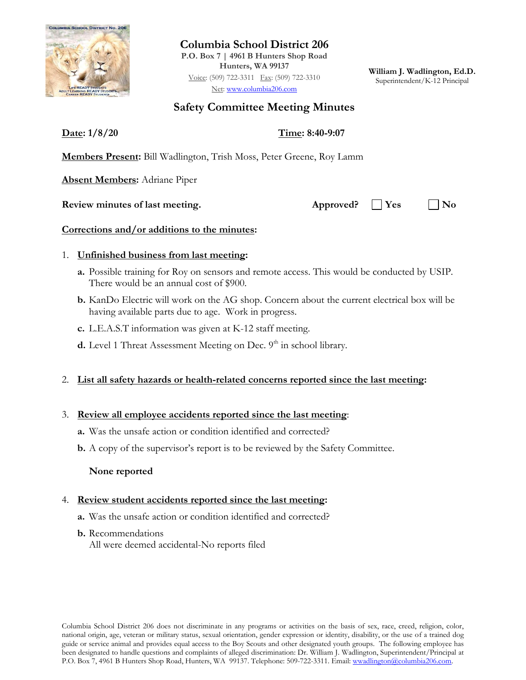

**Columbia School District 206**

**P.O. Box 7 | 4961 B Hunters Shop Road Hunters, WA 99137** Voice: (509) 722-3311 Fax: (509) 722-3310 Net: [www.columbia206.com](http://www.columbia206.com/)

**William J. Wadlington, Ed.D.** Superintendent/K-12 Principal

## **Safety Committee Meeting Minutes**

**Date: 1/8/20 Time: 8:40-9:07**

**Members Present:** Bill Wadlington, Trish Moss, Peter Greene, Roy Lamm

**Absent Members:** Adriane Piper

### **Review minutes of last meeting. Approved? Yes No**

### **Corrections and/or additions to the minutes:**

### 1. **Unfinished business from last meeting:**

- **a.** Possible training for Roy on sensors and remote access. This would be conducted by USIP. There would be an annual cost of \$900.
- **b.** KanDo Electric will work on the AG shop. Concern about the current electrical box will be having available parts due to age. Work in progress.
- **c.** L.E.A.S.T information was given at K-12 staff meeting.
- **d.** Level 1 Threat Assessment Meeting on Dec. 9<sup>th</sup> in school library.

# 2. **List all safety hazards or health-related concerns reported since the last meeting:**

## 3. **Review all employee accidents reported since the last meeting**:

- **a.** Was the unsafe action or condition identified and corrected?
- **b.** A copy of the supervisor's report is to be reviewed by the Safety Committee.

## **None reported**

## 4. **Review student accidents reported since the last meeting:**

- **a.** Was the unsafe action or condition identified and corrected?
- **b.** Recommendations All were deemed accidental-No reports filed